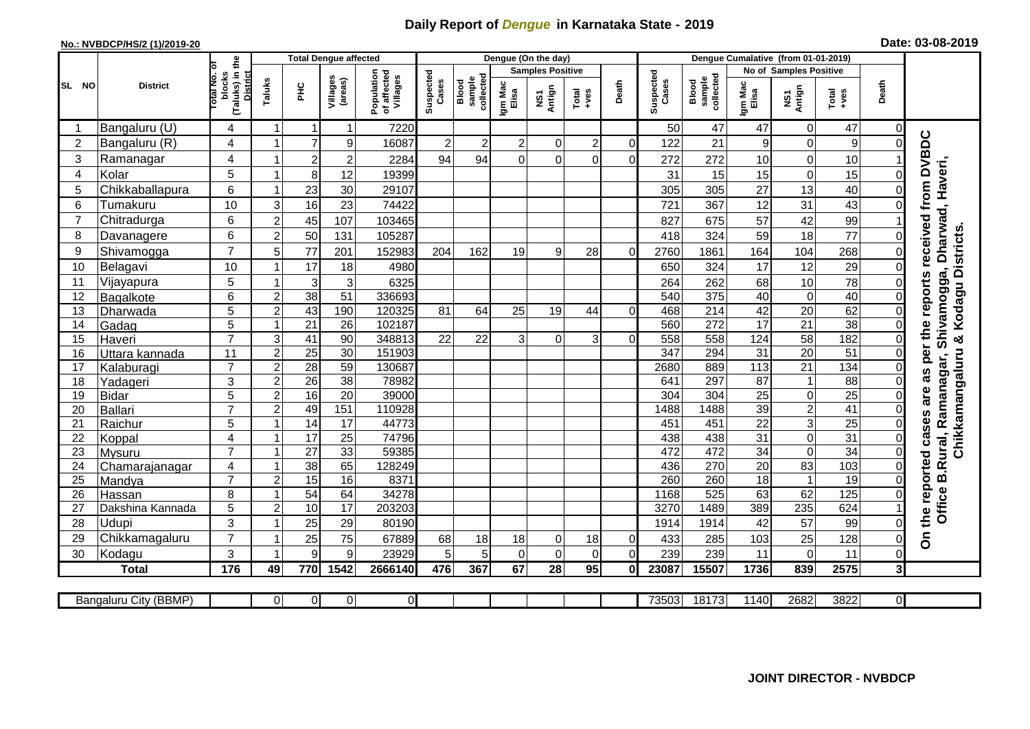## **Daily Report of** *Dengue* **in Karnataka State - 2019**

## **No.: NVBDCP/HS/2 (1)/2019-20 Date: 03-08-2019**

|                 |                       |                                                   | <b>Total Dengue affected</b> |                 |                         |                                       |                    |                              | Dengue (On the day)     |                |                   |                |                    |                              |                               |                 |                 |                |                                        |
|-----------------|-----------------------|---------------------------------------------------|------------------------------|-----------------|-------------------------|---------------------------------------|--------------------|------------------------------|-------------------------|----------------|-------------------|----------------|--------------------|------------------------------|-------------------------------|-----------------|-----------------|----------------|----------------------------------------|
|                 |                       | ъ                                                 |                              |                 |                         |                                       |                    |                              | <b>Samples Positive</b> |                |                   |                |                    |                              | <b>No of Samples Positive</b> |                 |                 |                |                                        |
| SL<br><b>NO</b> | <b>District</b>       | (Taluks) in the<br>District<br>otal No.<br>blocks | Taluks                       | ΞÉ              | Villages<br>(areas)     | Population<br>of affected<br>Villages | Suspected<br>Cases | collected<br>sample<br>Blood | Igm Mac<br>Elisa        | NS1<br>Antign  | Total<br>$+ve$ es | Death          | Suspected<br>Cases | sample<br>collected<br>Blood | Igm Mac<br>Elisa              | NS1<br>Antign   | Total<br>+ves   | Death          |                                        |
| -1              | Bangaluru (U)         | $\overline{4}$                                    | 1                            | -1              | 1                       | 7220                                  |                    |                              |                         |                |                   |                | 50                 | 47                           | 47                            | 0               | 47              | 0              |                                        |
| $\overline{2}$  | Bangaluru (R)         | 4                                                 |                              | $\overline{7}$  | 9                       | 16087                                 | $\overline{2}$     | $\overline{c}$               | $\overline{2}$          | $\overline{0}$ | $\overline{2}$    | $\overline{0}$ | 122                | 21                           | 9                             | $\mathbf 0$     | 9               | $\Omega$       |                                        |
| 3               | Ramanagar             | 4                                                 |                              | $\overline{c}$  | $\overline{\mathbf{c}}$ | 2284                                  | 94                 | 94                           | $\Omega$                | $\Omega$       | $\Omega$          | $\Omega$       | 272                | 272                          | 10                            | $\mathbf 0$     | 10              |                | as per the reports received from DVBDC |
| 4               | Kolar                 | 5                                                 |                              | 8               | 12                      | 19399                                 |                    |                              |                         |                |                   |                | 31                 | 15                           | 15                            | $\mathbf 0$     | 15              | 0              |                                        |
| 5               | Chikkaballapura       | $6\phantom{1}$                                    |                              | 23              | 30                      | 29107                                 |                    |                              |                         |                |                   |                | 305                | 305                          | 27                            | 13              | 40              |                |                                        |
| 6               | Tumakuru              | 10                                                | 3                            | 16              | 23                      | 74422                                 |                    |                              |                         |                |                   |                | 721                | 367                          | 12                            | 31              | 43              | 0              |                                        |
| $\overline{7}$  | Chitradurga           | $6\phantom{1}$                                    | $\overline{c}$               | 45              | 107                     | 103465                                |                    |                              |                         |                |                   |                | 827                | 675                          | 57                            | 42              | 99              |                |                                        |
| 8               | Davanagere            | 6                                                 | $\overline{c}$               | 50              | 131                     | 105287                                |                    |                              |                         |                |                   |                | 418                | 324                          | 59                            | 18              | 77              | 0              |                                        |
| 9               | Shivamogga            | $\overline{7}$                                    | 5                            | 77              | 201                     | 152983                                | 204                | 162                          | 19                      | 9              | 28                | $\Omega$       | 2760               | 1861                         | 164                           | 104             | 268             | $\Omega$       | Dharwad, Haveri,<br>& Kodagu Districts |
| 10              | Belagavi              | 10                                                |                              | 17              | 18                      | 4980                                  |                    |                              |                         |                |                   |                | 650                | 324                          | 17                            | 12              | 29              | $\Omega$       |                                        |
| 11              | Vijayapura            | 5                                                 |                              | 3               | 3                       | 6325                                  |                    |                              |                         |                |                   |                | 264                | 262                          | 68                            | 10              | 78              | 0              | B.Rural, Ramanagar, Shivamogga,        |
| 12              | Bagalkote             | 6                                                 | $\overline{c}$               | 38              | 51                      | 336693                                |                    |                              |                         |                |                   |                | 540                | 375                          | 40                            | $\mathbf 0$     | 40              | $\Omega$       |                                        |
| 13              | Dharwada              | 5                                                 | $\overline{2}$               | 43              | 190                     | 120325                                | 81                 | 64                           | $\overline{25}$         | 19             | 44                | $\Omega$       | 468                | 214                          | 42                            | 20              | 62              | $\overline{0}$ |                                        |
| 14              | Gadag                 | 5                                                 | $\mathbf{1}$                 | 21              | $\overline{26}$         | 102187                                |                    |                              |                         |                |                   |                | 560                | $\overline{272}$             | $\overline{17}$               | $\overline{21}$ | 38              | $\overline{0}$ |                                        |
| 15              | Haveri                | $\overline{7}$                                    | 3                            | 41              | 90                      | 348813                                | 22                 | 22                           | 3                       | $\Omega$       | 3                 | $\Omega$       | 558                | 558                          | 124                           | $\overline{58}$ | 182             | $\overline{0}$ |                                        |
| 16              | Uttara kannada        | 11                                                | $\overline{c}$               | $\overline{25}$ | $\overline{30}$         | 151903                                |                    |                              |                         |                |                   |                | 347                | 294                          | 31                            | 20              | 51              | $\Omega$       | Chikkamangaluru                        |
| 17              | Kalaburagi            | $\overline{7}$                                    | $\overline{2}$               | 28              | $\overline{59}$         | 130687                                |                    |                              |                         |                |                   |                | 2680               | 889                          | $\overline{113}$              | 21              | 134             | $\Omega$       |                                        |
| 18              | Yadageri              | 3                                                 | $\overline{c}$               | 26              | 38                      | 78982                                 |                    |                              |                         |                |                   |                | 641                | 297                          | 87                            | $\overline{1}$  | 88              | 0              |                                        |
| 19              | <b>Bidar</b>          | 5                                                 | $\overline{2}$               | 16              | $\overline{20}$         | 39000                                 |                    |                              |                         |                |                   |                | 304                | $\overline{304}$             | $\overline{25}$               | $\mathbf 0$     | $\overline{25}$ | $\Omega$       | are                                    |
| 20              | <b>Ballari</b>        | $\overline{7}$                                    | $\overline{c}$               | 49              | 151                     | 110928                                |                    |                              |                         |                |                   |                | 1488               | 1488                         | 39                            | $\sqrt{2}$      | 41              | $\Omega$       |                                        |
| 21              | Raichur               | 5                                                 | 1                            | 14              | 17                      | 44773                                 |                    |                              |                         |                |                   |                | 451                | 451                          | $\overline{22}$               | $\overline{3}$  | 25              | $\Omega$       | the reported cases                     |
| 22              | Koppal                | $\overline{\mathbf{4}}$                           | -1                           | $\overline{17}$ | 25                      | 74796                                 |                    |                              |                         |                |                   |                | 438                | 438                          | 31                            | $\mathbf 0$     | 31              | $\Omega$       |                                        |
| 23              | <b>Mysuru</b>         | $\overline{7}$                                    | $\mathbf{1}$                 | $\overline{27}$ | 33                      | 59385                                 |                    |                              |                         |                |                   |                | 472                | 472                          | 34                            | $\mathbf 0$     | 34              | $\overline{0}$ |                                        |
| 24              | Chamarajanagar        | 4                                                 |                              | $\overline{38}$ | 65                      | 128249                                |                    |                              |                         |                |                   |                | 436                | 270                          | 20                            | 83              | 103             | $\overline{0}$ |                                        |
| 25              | Mandya                | $\overline{7}$                                    | $\overline{c}$               | 15              | $\overline{16}$         | 8371                                  |                    |                              |                         |                |                   |                | 260                | 260                          | $\overline{18}$               | -1              | $\overline{19}$ | $\overline{0}$ |                                        |
| 26              | Hassan                | 8                                                 | $\overline{1}$               | $\overline{54}$ | 64                      | 34278                                 |                    |                              |                         |                |                   |                | 1168               | 525                          | 63                            | 62              | 125             | $\overline{0}$ |                                        |
| 27              | Dakshina Kannada      | 5                                                 | $\overline{c}$               | 10              | 17                      | 203203                                |                    |                              |                         |                |                   |                | 3270               | 1489                         | 389                           | 235             | 624             |                | <b>Office</b>                          |
| 28              | Udupi                 | 3                                                 |                              | 25              | 29                      | 80190                                 |                    |                              |                         |                |                   |                | 1914               | 1914                         | 42                            | 57              | 99              | 0              |                                        |
| 29              | Chikkamagaluru        | $\overline{7}$                                    |                              | 25              | 75                      | 67889                                 | 68                 | 18                           | 18                      | $\Omega$       | 18                | 0              | 433                | 285                          | 103                           | 25              | 128             | $\Omega$       | δ                                      |
| 30              | Kodagu                | 3                                                 |                              | 9               | 9                       | 23929                                 | 5                  | 5                            | $\Omega$                | $\Omega$       | $\Omega$          | $\Omega$       | 239                | 239                          | 11                            | $\Omega$        | 11              | 0              |                                        |
|                 | <b>Total</b>          | 176                                               | 49                           | 770             | 1542                    | 2666140                               | 476                | 367                          | 67                      | 28             | $\overline{95}$   | $\mathbf{0}$   | 23087              | 15507                        | 1736                          | 839             | 2575            | $\mathbf{3}$   |                                        |
|                 |                       |                                                   |                              |                 |                         |                                       |                    |                              |                         |                |                   |                |                    |                              |                               |                 |                 |                |                                        |
|                 | Bangaluru City (BBMP) |                                                   | $\overline{0}$               | $\overline{0}$  | 0                       | $\overline{0}$                        |                    |                              |                         |                |                   |                | 73503              | 18173                        | 1140                          | 2682            | 3822            | οI             |                                        |